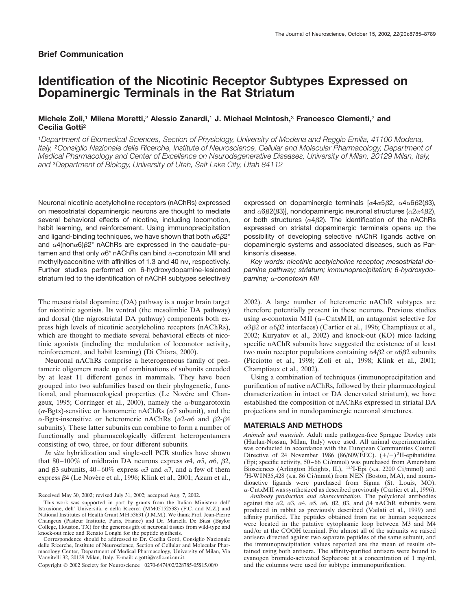# **Identification of the Nicotinic Receptor Subtypes Expressed on Dopaminergic Terminals in the Rat Striatum**

## **Michele Zoli,**<sup>1</sup> **Milena Moretti,**<sup>2</sup> **Alessio Zanardi,**<sup>1</sup> **J. Michael McIntosh,**<sup>3</sup> **Francesco Clementi,**<sup>2</sup> **and Cecilia Gotti**<sup>2</sup>

<sup>1</sup>*Department of Biomedical Sciences, Section of Physiology, University of Modena and Reggio Emilia, 41100 Modena, Italy,* <sup>2</sup>*Consiglio Nazionale delle Ricerche, Institute of Neuroscience, Cellular and Molecular Pharmacology, Department of Medical Pharmacology and Center of Excellence on Neurodegenerative Diseases, University of Milan, 20129 Milan, Italy, and* <sup>3</sup>*Department of Biology, University of Utah, Salt Lake City, Utah 84112*

Neuronal nicotinic acetylcholine receptors (nAChRs) expressed on mesostriatal dopaminergic neurons are thought to mediate several behavioral effects of nicotine, including locomotion, habit learning, and reinforcement. Using immunoprecipitation and ligand-binding techniques, we have shown that both  $\alpha$ 6 $\beta$ 2\* and  $\alpha$ 4(non $\alpha$ 6) $\beta$ 2\* nAChRs are expressed in the caudate–putamen and that only  $\alpha$ 6<sup>\*</sup> nAChRs can bind  $\alpha$ -conotoxin MII and methyllycaconitine with affinities of 1.3 and 40 nm, respectively. Further studies performed on 6-hydroxydopamine-lesioned striatum led to the identification of nAChR subtypes selectively

The mesostriatal dopamine (DA) pathway is a major brain target for nicotinic agonists. Its ventral (the mesolimbic DA pathway) and dorsal (the nigrostriatal DA pathway) components both express high levels of nicotinic acetylcholine receptors (nAChRs), which are thought to mediate several behavioral effects of nicotinic agonists (including the modulation of locomotor activity, reinforcement, and habit learning) (Di Chiara, 2000).

Neuronal nAChRs comprise a heterogeneous family of pentameric oligomers made up of combinations of subunits encoded by at least 11 different genes in mammals. They have been grouped into two subfamilies based on their phylogenetic, functional, and pharmacological properties (Le Novére and Changeux, 1995; Corringer et al., 2000), namely the  $\alpha$ -bungarotoxin ( $\alpha$ -Bgtx)-sensitive or homomeric nAChRs ( $\alpha$ 7 subunit), and the  $\alpha$ -Bgtx-insensitive or heteromeric nAChRs ( $\alpha$ 2- $\alpha$ 6 and  $\beta$ 2- $\beta$ 4 subunits). These latter subunits can combine to form a number of functionally and pharmacologically different heteropentamers consisting of two, three, or four different subunits.

*In situ* hybridization and single-cell PCR studies have shown that 80–100% of midbrain DA neurons express  $\alpha$ 4,  $\alpha$ 5,  $\alpha$ 6,  $\beta$ 2, and  $\beta$ 3 subunits, 40–60% express  $\alpha$ 3 and  $\alpha$ 7, and a few of them express  $\beta$ 4 (Le Novère et al., 1996; Klink et al., 2001; Azam et al.,

Copyright © 2002 Society for Neuroscience 0270-6474/02/228785-05\$15.00/0

expressed on dopaminergic terminals  $[\alpha 4\alpha 5\beta 2, \alpha 4\alpha 6\beta 2(\beta 3)]$ and  $\alpha$ 6 $\beta$ 2( $\beta$ 3)], nondopaminergic neuronal structures ( $\alpha$ 2 $\alpha$ 4 $\beta$ 2), or both structures ( $\alpha$ 4 $\beta$ 2). The identification of the nAChRs expressed on striatal dopaminergic terminals opens up the possibility of developing selective nAChR ligands active on dopaminergic systems and associated diseases, such as Parkinson's disease.

*Key words: nicotinic acetylcholine receptor; mesostriatal dopamine pathway; striatum; immunoprecipitation; 6-hydroxydopamine; α-conotoxin MII* 

2002). A large number of heteromeric nAChR subtypes are therefore potentially present in these neurons. Previous studies using  $\alpha$ -conotoxin MII ( $\alpha$ -CntxMII, an antagonist selective for  $\alpha$ 3 $\beta$ 2 or  $\alpha$ 6 $\beta$ 2 interfaces) (Cartier et al., 1996; Champtiaux et al., 2002; Kuryatov et al., 2002) and knock-out (KO) mice lacking specific nAChR subunits have suggested the existence of at least two main receptor populations containing  $\alpha$ 4 $\beta$ 2 or  $\alpha$ 6 $\beta$ 2 subunits (Picciotto et al., 1998; Zoli et al., 1998; Klink et al., 2001; Champtiaux et al., 2002).

Using a combination of techniques (immunoprecipitation and purification of native nAChRs, followed by their pharmacological characterization in intact or DA denervated striatum), we have established the composition of nAChRs expressed in striatal DA projections and in nondopaminergic neuronal structures.

#### **MATERIALS AND METHODS**

*Animals and materials.* Adult male pathogen-free Sprague Dawley rats (Harlan-Nossan, Milan, Italy) were used. All animal experimentation was conducted in accordance with the European Communities Council Directive of 24 November 1986 (86/609/EEC).  $(+/-)$ <sup>3</sup>H-epibatidine (Epi; specific activity, 50–66 Ci/mmol) was purchased from Amersham Biosciences (Arlington Heights, IL), <sup>125</sup>I-Epi (s.a. 2200 Ci/mmol) and  ${}^{3}$ H-WIN35,428 (s.a. 86 Ci/mmol) from NEN (Boston, MA), and nonradioactive ligands were purchased from Sigma (St. Louis, MO).  $\alpha$ -CntxMII was synthesized as described previously (Cartier et al., 1996).

*Antibody production and characterization.* The polyclonal antibodies against the  $\alpha$ 2,  $\alpha$ 3,  $\alpha$ 4,  $\alpha$ 5,  $\alpha$ 6,  $\beta$ 2,  $\beta$ 3, and  $\beta$ 4 nAChR subunits were produced in rabbit as previously described (Vailati et al., 1999) and affinity purified. The peptides obtained from rat or human sequences were located in the putative cytoplasmic loop between M3 and M4 and/or at the COOH terminal. For almost all of the subunits we raised antisera directed against two separate peptides of the same subunit, and the immunoprecipitation values reported are the mean of results obtained using both antisera. The affinity-purified antisera were bound to cyanogen bromide-activated Sepharose at a concentration of 1 mg/ml, and the columns were used for subtype immunopurification.

Received May 30, 2002; revised July 31, 2002; accepted Aug. 7, 2002.

This work was supported in part by grants from the Italian Ministero dell' Istruxione, dell' Università, e della Ricerca (MM05152538) (F.C. and M.Z.) and National Institutes of Health Grant MH 53631 (J.M.M.). We thank Prof. Jean-Pierre Changeux (Pasteur Institute, Paris, France) and Dr. Mariella De Biasi (Baylor College, Houston, TX) for the generous gift of neuronal tissues from wild-type and knock-out mice and Renato Longhi for the peptide synthesis.

Correspondence should be addressed to Dr. Cecilia Gotti, Consiglio Nazionale delle Ricerche, Institute of Neuroscience, Section of Cellular and Molecular Pharmacology Center, Department of Medical Pharmacology, University of Milan, Via Vanvitelli 32, 20129 Milan, Italy. E-mail: c.gotti@csfic.mi.cnr.it.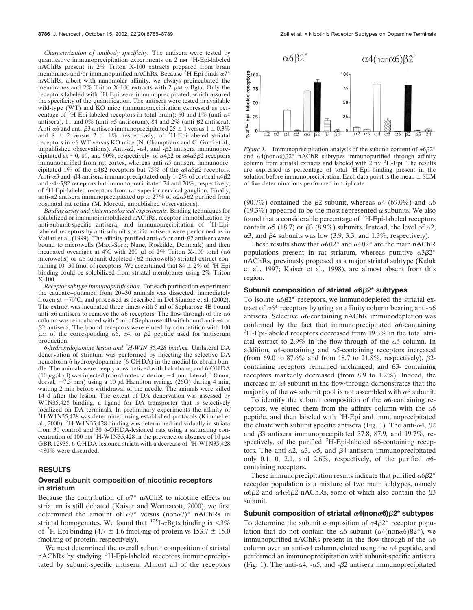*Characterization of antibody specificity.* The antisera were tested by quantitative immunoprecipitation experiments on 2 nM <sup>3</sup>H-Epi-labeled nAChRs present in 2% Triton X-100 extracts prepared from brain membranes and/or immunopurified nAChRs. Because  ${}^{3}$ H-Epi binds  $\alpha$ 7<sup>\*</sup> nAChRs, albeit with nanomolar affinity, we always preincubated the membranes and 2% Triton X-100 extracts with 2  $\mu$ M  $\alpha$ -Bgtx. Only the receptors labeled with <sup>3</sup>H-Epi were immunoprecipitated, which assured the specificity of the quantification. The antisera were tested in available wild-type (WT) and KO mice (immunoprecipitation expressed as percentage of <sup>3</sup>H-Epi-labeled receptors in total brain): 60 and 1% (anti- $\alpha$ 4 antisera), 11 and 0% (anti- $\alpha$ 5 antiserum), 84 and 2% (anti- $\beta$ 2 antisera). Anti- $\alpha$ 6 and anti- $\beta$ 3 antisera immunoprecipitated 25  $\pm$  1 versus 1  $\pm$  0.3% and 8  $\pm$  2 versus 2  $\pm$  1%, respectively, of <sup>3</sup>H-Epi-labeled striatal receptors in  $\alpha$ 6 WT versus KO mice (N. Champtiaux and C. Gotti et al., unpublished observations). Anti- $\alpha$ 2, - $\alpha$ 4, and - $\beta$ 2 antisera immunoprecipitated at  $\sim 0$ , 80, and 90%, respectively, of  $\alpha$ 4 $\beta$ 2 or  $\alpha$ 4 $\alpha$ 5 $\beta$ 2 receptors immunopurified from rat cortex, whereas anti- $\alpha$ 5 antisera immunoprecipitated 1% of the  $\alpha$ 4 $\beta$ 2 receptors but 75% of the  $\alpha$ 4 $\alpha$ 5 $\beta$ 2 receptors. Anti- $\alpha$ 3 and - $\beta$ 4 antisera immunoprecipitated only 1–2% of cortical  $\alpha$ 4 $\beta$ 2 and  $\alpha$ 4 $\alpha$ 5 $\beta$ 2 receptors but immunoprecipitated 74 and 70%, respectively, of <sup>3</sup> H-Epi-labeled receptors from rat superior cervical ganglion. Finally, anti- $\alpha$ 2 antisera immunoprecipitated up to 27% of  $\alpha$ 2 $\alpha$ 5 $\beta$ 2 purified from postnatal rat retina (M. Moretti, unpublished observations).

*Binding assay and pharmacological experiments.* Binding techniques for solubilized or immunoimmobilized nAChRs, receptor immobilization by anti-subunit-specific antisera, and immunoprecipitation of <sup>3</sup>H-Epilabeled receptors by anti-subunit specific antisera were performed as in Vailati et al. (1999). The affinity-purified anti- $\alpha$ 6 or anti- $\beta$ 2 antisera were bound to microwells (Maxi-Sorp; Nunc, Roskilde, Denmark) and then incubated overnight at 4°C with 200  $\mu$ l of 2% Triton X-100 total ( $\alpha$ 6 microwells) or  $\alpha$ 6 subunit-depleted ( $\beta$ 2 microwells) striatal extract containing 10–30 fmol of receptors. We ascertained that 84  $\pm$  2% of <sup>3</sup>H-Epi binding could be solubilized from striatal membranes using 2% Triton X-100.

*Receptor subtype immunopurification.* For each purification experiment the caudate–putamen from 20–30 animals was dissected, immediately frozen at  $-70^{\circ}$ C, and processed as described in Del Signore et al. (2002). The extract was incubated three times with 5 ml of Sepharose-4B bound anti- $\alpha$ 6 antisera to remove the  $\alpha$ 6 receptors. The flow-through of the  $\alpha$ 6 column was reincubated with 5 ml of Sepharose-4B with bound anti- $\alpha$ 4 or  $\beta$ 2 antisera. The bound receptors were eluted by competition with 100  $\mu$ M of the corresponding  $\alpha$ 6,  $\alpha$ 4, or  $\beta$ 2 peptide used for antiserum production.

*6-hydroxydopamine lesion and <sup>3</sup> H-WIN 35,428 binding.* Unilateral DA denervation of striatum was performed by injecting the selective DA neurotoxin 6-hydroxydopamine (6-OHDA) in the medial forebrain bundle. The animals were deeply anesthetized with halothane, and 6-OHDA (10  $\mu$ g/4  $\mu$ l) was injected (coordinates: anterior,  $-4$  mm; lateral, 1.8 mm, dorsal,  $-7.5$  mm) using a 10  $\mu$ l Hamilton syringe (26G) during 4 min, waiting 2 min before withdrawal of the needle. The animals were killed 14 d after the lesion. The extent of DA denervation was assessed by WIN35,428 binding, a ligand for DA transporter that is selectively localized on DA terminals. In preliminary experiments the affinity of <sup>3</sup>H-WIN35,428 was determined using established protocols (Kimmel et al., 2000). <sup>3</sup>H-WIN35,428 binding was determined individually in striata from 30 control and 30 6-OHDA-lesioned rats using a saturating concentration of 100 nm<sup>3</sup>H-WIN35,428 in the presence or absence of 10  $\mu$ M GBR 12935. 6-OHDA-lesioned striata with a decrease of <sup>3</sup>H-WIN35,428  $< 80\%$  were discarded.

## **RESULTS**

## **Overall subunit composition of nicotinic receptors in striatum**

Because the contribution of  $\alpha$ <sup>\*</sup> nAChR to nicotine effects on striatum is still debated (Kaiser and Wonnacott, 2000), we first determined the amount of  $\alpha$ <sup>7\*</sup> versus (non $\alpha$ <sup>7</sup>)<sup>\*</sup> nAChRs in striatal homogenates. We found that  $^{125}I-\alpha Bgtx$  binding is <3% of <sup>3</sup>H-Epi binding (4.7  $\pm$  1.6 fmol/mg of protein vs 153.7  $\pm$  15.0 fmol/mg of protein, respectively).

We next determined the overall subunit composition of striatal nAChRs by studying <sup>3</sup>H-Epi-labeled receptors immunoprecipitated by subunit-specific antisera. Almost all of the receptors



*Figure 1.* Immunoprecipitation analysis of the subunit content of  $\alpha 6\beta 2^*$ and  $\alpha$ 4(non $\alpha$ 6) $\beta$ 2\* nAChR subtypes immunopurified through affinity column from striatal extracts and labeled with  $\hat{2}$  nm  ${}^{3}$ H-Epi. The results are expressed as percentage of total <sup>3</sup>H-Epi binding present in the solution before immunoprecipitation. Each data point is the mean  $\pm$  SEM of five determinations performed in triplicate.

(90.7%) contained the  $\beta$ 2 subunit, whereas  $\alpha$ 4 (69.0%) and  $\alpha$ 6 (19.3%) appeared to be the most represented  $\alpha$  subunits. We also found that a considerable percentage of <sup>3</sup>H-Epi-labeled receptors contain  $\alpha$ 5 (18.7) or  $\beta$ 3 (8.9%) subunits. Instead, the level of  $\alpha$ 2,  $\alpha$ 3, and  $\beta$ 4 subunits was low (3.9, 3.3, and 1.3%, respectively).

These results show that  $\alpha 6\beta 2^*$  and  $\alpha 4\beta 2^*$  are the main nAChR populations present in rat striatum, whereas putative  $\alpha 3\beta 2^*$ nAChRs, previously proposed as a major striatal subtype (Kulak et al., 1997; Kaiser et al., 1998), are almost absent from this region.

#### **Subunit composition of striatal 6**-**2\* subtypes**

To isolate  $\alpha$ 6 $\beta$ 2\* receptors, we immunodepleted the striatal extract of  $\alpha$ 6<sup>\*</sup> receptors by using an affinity column bearing anti- $\alpha$ 6 antisera. Selective  $\alpha$ 6-containing nAChR immunodepletion was confirmed by the fact that immunoprecipitated  $\alpha$ 6-containing  ${}^{3}$ H-Epi-labeled receptors decreased from 19.3% in the total striatal extract to 2.9% in the flow-through of the  $\alpha$ 6 column. In addition,  $\alpha$ 4-containing and  $\alpha$ 5-containing receptors increased (from 69.0 to 87.6% and from 18.7 to 21.8%, respectively),  $\beta$ 2containing receptors remained unchanged, and  $\beta$ 3- containing receptors markedly decreased (from 8.9 to 1.2%). Indeed, the increase in  $\alpha$ 4 subunit in the flow-through demonstrates that the majority of the  $\alpha$ 4 subunit pool is not assembled with  $\alpha$ 6 subunit.

To identify the subunit composition of the  $\alpha$ 6-containing receptors, we eluted them from the affinity column with the  $\alpha$ 6 peptide, and then labeled with <sup>3</sup>H-Epi and immunoprecipitated the eluate with subunit specific antisera (Fig. 1). The anti- $\alpha$ 4,  $\beta$ 2 and  $\beta$ 3 antisera immunoprecipitated 37.8, 87.9, and 19.7%, respectively, of the purified  ${}^{3}$ H-Epi-labeled  $\alpha$ 6-containing receptors. The anti- $\alpha$ 2,  $\alpha$ 3,  $\alpha$ 5, and  $\beta$ 4 antisera immunoprecipitated only 0.1, 0, 2.1, and 2.6%, respectively, of the purified  $\alpha$ 6containing receptors.

These immunoprecipitation results indicate that purified  $\alpha 6\beta 2^*$ receptor population is a mixture of two main subtypes, namely  $\alpha$ 6β2 and  $\alpha$ 4 $\alpha$ 6β2 nAChRs, some of which also contain the β3 subunit.

#### **Subunit composition of striatal 4(non6)**-**2\* subtypes**

To determine the subunit composition of  $\alpha$ 4 $\beta$ 2<sup>\*</sup> receptor population that do not contain the  $\alpha$ 6 subunit ( $\alpha$ 4(non $\alpha$ 6) $\beta$ 2\*), we immunopurified nAChRs present in the flow-through of the  $\alpha$ 6 column over an anti- $\alpha$ 4 column, eluted using the  $\alpha$ 4 peptide, and performed an immunoprecipitation with subunit-specific antisera (Fig. 1). The anti- $\alpha$ 4, - $\alpha$ 5, and - $\beta$ 2 antisera immunoprecipitated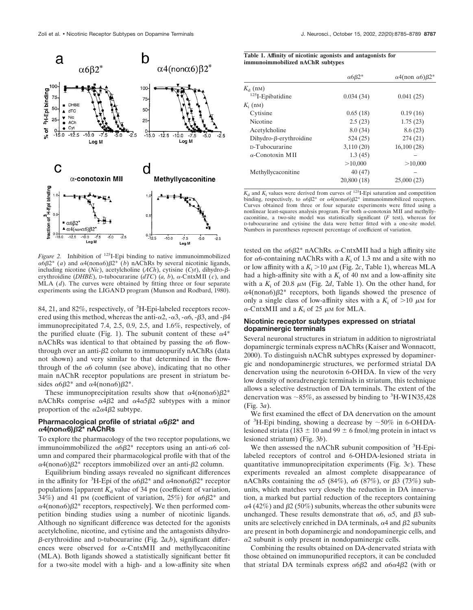

*Figure 2.* Inhibition of 125I-Epi binding to native immunoimmobilized  $\alpha$ 6 $\beta$ 2<sup>\*</sup> (*a*) and  $\alpha$ 4(non $\alpha$ 6) $\beta$ 2<sup>\*</sup> (*b*) nAChRs by several nicotinic ligands, including nicotine  $(Nic)$ , acetylcholine  $(ACh)$ , cytisine  $(Cyt)$ , dihydro- $\beta$ erythroidine (*DHBE*), D-tubocurarine ( $dTC$ ) (*a, b*),  $\alpha$ -CntxMII (*c*), and MLA (*d*). The curves were obtained by fitting three or four separate experiments using the LIGAND program (Munson and Rodbard, 1980).

84, 21, and 82%, respectively, of <sup>3</sup>H-Epi-labeled receptors recovered using this method, whereas the anti- $\alpha$ 2, - $\alpha$ 3, - $\alpha$ 6, - $\beta$ 3, and - $\beta$ 4 immunoprecipitated 7.4, 2.5, 0.9, 2.5, and 1.6%, respectively, of the purified eluate (Fig. 1). The subunit content of these  $\alpha$ <sup>4\*</sup> nAChRs was identical to that obtained by passing the  $\alpha$ 6 flowthrough over an anti- $\beta$ 2 column to immunopurify nAChRs (data not shown) and very similar to that determined in the flowthrough of the  $\alpha$ 6 column (see above), indicating that no other main nAChR receptor populations are present in striatum besides  $\alpha 6\beta 2^*$  and  $\alpha 4(\text{non}\alpha 6)\beta 2^*$ .

These immunoprecipitation results show that  $\alpha^4$ (non $\alpha^6$ ) $\beta^2$ \* nAChRs comprise  $\alpha$ 4 $\beta$ 2 and  $\alpha$ 4 $\alpha$ 5 $\beta$ 2 subtypes with a minor proportion of the  $\alpha$ 2 $\alpha$ 4 $\beta$ 2 subtype.

## Pharmacological profile of striatal  $\alpha$ 6 $\beta$ 2<sup>\*</sup> and **4(non6)**-**2\* nAChRs**

To explore the pharmacology of the two receptor populations, we immunoimmobilized the  $\alpha 6\beta 2^*$  receptors using an anti- $\alpha 6$  column and compared their pharmacological profile with that of the  $\alpha$ 4(non $\alpha$ 6) $\beta$ 2\* receptors immobilized over an anti- $\beta$ 2 column.

Equilibrium binding assays revealed no significant differences in the affinity for <sup>3</sup>H-Epi of the  $\alpha 6\beta 2^*$  and  $\alpha 4$ non $\alpha 6\beta 2^*$  receptor populations [apparent  $K_d$  value of 34 pm (coefficient of variation, 34%) and 41 pm (coefficient of variation, 25%) for  $\alpha 6\beta 2^*$  and  $\alpha$ 4(non $\alpha$ 6) $\beta$ 2\* receptors, respectively]. We then performed competition binding studies using a number of nicotinic ligands. Although no significant difference was detected for the agonists acetylcholine, nicotine, and cytisine and the antagonists dihydro-  $\beta$ -erythroidine and D-tubocurarine (Fig. 2*a*,*b*), significant differences were observed for  $\alpha$ -CntxMII and methyllycaconitine (MLA). Both ligands showed a statistically significant better fit for a two-site model with a high- and a low-affinity site when

|  |  |                                  | Table 1. Affinity of nicotinic agonists and antagonists for |  |
|--|--|----------------------------------|-------------------------------------------------------------|--|
|  |  | immunoimmobilized nAChR subtypes |                                                             |  |

| $\alpha$ 6 $\beta$ 2 <sup>*</sup> | $\alpha$ 4(non $\alpha$ 6) $\beta$ 2 <sup>*</sup> |
|-----------------------------------|---------------------------------------------------|
|                                   |                                                   |
| 0.034(34)                         | 0.041(25)                                         |
|                                   |                                                   |
| 0.65(18)                          | 0.19(16)                                          |
| 2.5(23)                           | 1.75(23)                                          |
| 8.0(34)                           | 8.6(23)                                           |
| 524(25)                           | 274(21)                                           |
| 3,110(20)                         | 16,100(28)                                        |
| 1.3(45)                           |                                                   |
| >10,000                           | >10,000                                           |
| 40(47)                            |                                                   |
| 20,800 (18)                       | 25,000(23)                                        |
|                                   |                                                   |

 $K_d$  and  $K_i$  values were derived from curves of <sup>125</sup>I-Epi saturation and competition binding, respectively, to  $\alpha\beta/2^*$  or  $\alpha\beta$ (non $\alpha\beta/\beta$ 2\* immunoimmobilized receptors. Curves obtained from three or four separate experiments were fitted using a nonlinear least-squares analysis program. For both  $\alpha$ -conotoxin MII and methyllycaconitine, a two-site model was statistically significant (*F* test), whereas for D-tubocurarine and cytisine the data were better fitted with a one-site model. Numbers in parentheses represent percentage of coefficient of variation.

tested on the  $\alpha$ 6β2\* nAChRs.  $\alpha$ -CntxMII had a high affinity site for  $\alpha$ 6-containing nAChRs with a  $K_i$  of 1.3 nm and a site with no or low affinity with a  $K_i > 10 \mu M$  (Fig. 2c, Table 1), whereas MLA had a high-affinity site with a  $K<sub>i</sub>$  of 40 nm and a low-affinity site with a  $K_i$  of 20.8  $\mu$ M (Fig. 2d, Table 1). On the other hand, for  $\alpha$ 4(non $\alpha$ 6) $\beta$ 2\* receptors, both ligands showed the presence of only a single class of low-affinity sites with a  $K_i$  of  $>10 \mu$ M for  $\alpha$ -CntxMII and a  $K_i$  of 25  $\mu$ M for MLA.

## **Nicotinic receptor subtypes expressed on striatal dopaminergic terminals**

Several neuronal structures in striatum in addition to nigrostriatal dopaminergic terminals express nAChRs (Kaiser and Wonnacott, 2000). To distinguish nAChR subtypes expressed by dopaminergic and nondopaminergic structures, we performed striatal DA denervation using the neurotoxin 6-OHDA. In view of the very low density of noradrenergic terminals in striatum, this technique allows a selective destruction of DA terminals. The extent of the denervation was  $\sim$ 85%, as assessed by binding to <sup>3</sup>H-WIN35,428 (Fig. 3*a*).

We first examined the effect of DA denervation on the amount of <sup>3</sup>H-Epi binding, showing a decrease by  $\sim$ 50% in 6-OHDAlesioned striata (183  $\pm$  10 and 99  $\pm$  6 fmol/mg protein in intact vs lesioned striatum) (Fig. 3*b*).

We then assessed the nAChR subunit composition of <sup>3</sup>H-Epilabeled receptors of control and 6-OHDA-lesioned striata in quantitative immunoprecipitation experiments (Fig. 3*c*). These experiments revealed an almost complete disappearance of nAChRs containing the  $\alpha$ 5 (84%),  $\alpha$ 6 (87%), or  $\beta$ 3 (73%) subunits, which matches very closely the reduction in DA innervation, a marked but partial reduction of the receptors containing  $\alpha4$  (42%) and  $\beta2$  (50%) subunits, whereas the other subunits were unchanged. These results demonstrate that  $\alpha$ 6,  $\alpha$ 5, and  $\beta$ 3 subunits are selectively enriched in DA terminals,  $\alpha$ 4 and  $\beta$ 2 subunits are present in both dopaminergic and nondopaminergic cells, and  $\alpha$ 2 subunit is only present in nondopaminergic cells.

Combining the results obtained on DA-denervated striata with those obtained on immunopurified receptors, it can be concluded that striatal DA terminals express  $\alpha 6\beta 2$  and  $\alpha 6\alpha 4\beta 2$  (with or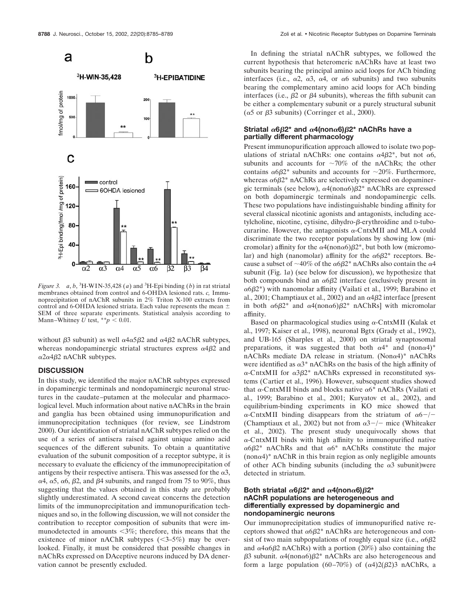



*Figure 3.*  $a, b$ , <sup>3</sup>H-WIN-35,428 ( $a$ ) and <sup>3</sup>H-Epi binding ( $b$ ) in rat striatal membranes obtained from control and 6-OHDA lesioned rats. *c,* Immunoprecipitation of nAChR subunits in 2% Triton X-100 extracts from control and 6-OHDA lesioned striata. Each value represents the mean  $\pm$ SEM of three separate experiments. Statistical analysis according to Mann–Whitney  $U$  test,  $*^*p < 0.01$ .

without  $\beta$ 3 subunit) as well  $\alpha$ 4 $\alpha$ 5 $\beta$ 2 and  $\alpha$ 4 $\beta$ 2 nAChR subtypes, whereas nondopaminergic striatal structures express  $\alpha$ 4 $\beta$ 2 and  $\alpha$ 2 $\alpha$ 4 $\beta$ 2 nAChR subtypes.

## **DISCUSSION**

In this study, we identified the major nAChR subtypes expressed in dopaminergic terminals and nondopaminergic neuronal structures in the caudate–putamen at the molecular and pharmacological level. Much information about native nAChRs in the brain and ganglia has been obtained using immunopurification and immunoprecipitation techniques (for review, see Lindstrom 2000). Our identification of striatal nAChR subtypes relied on the use of a series of antisera raised against unique amino acid sequences of the different subunits. To obtain a quantitative evaluation of the subunit composition of a receptor subtype, it is necessary to evaluate the efficiency of the immunoprecipitation of antigens by their respective antisera. This was assessed for the  $\alpha$ 3,  $\alpha$ 4,  $\alpha$ 5,  $\alpha$ 6,  $\beta$ 2, and  $\beta$ 4 subunits, and ranged from 75 to 90%, thus suggesting that the values obtained in this study are probably slightly underestimated. A second caveat concerns the detection limits of the immunoprecipitation and immunopurification techniques and so, in the following discussion, we will not consider the contribution to receptor composition of subunits that were immunodetected in amounts  $\langle 3\% \rangle$ ; therefore, this means that the existence of minor nAChR subtypes  $(\leq3-5\%)$  may be overlooked. Finally, it must be considered that possible changes in nAChRs expressed on DAceptive neurons induced by DA denervation cannot be presently excluded.

In defining the striatal nAChR subtypes, we followed the current hypothesis that heteromeric nAChRs have at least two subunits bearing the principal amino acid loops for ACh binding interfaces (i.e.,  $\alpha$ 2,  $\alpha$ 3,  $\alpha$ 4, or  $\alpha$ 6 subunits) and two subunits bearing the complementary amino acid loops for ACh binding interfaces (i.e.,  $\beta$ 2 or  $\beta$ 4 subunits), whereas the fifth subunit can be either a complementary subunit or a purely structural subunit  $(\alpha 5 \text{ or } \beta 3 \text{ subunits})$  (Corringer et al., 2000).

#### **Striatal 6**-**2\* and 4(non6)**-**2\* nAChRs have a partially different pharmacology**

Present immunopurification approach allowed to isolate two populations of striatal nAChRs: one contains  $\alpha$ 4 $\beta$ 2<sup>\*</sup>, but not  $\alpha$ 6, subunits and accounts for  $\sim 70\%$  of the nAChRs; the other contains  $\alpha 6\beta 2^*$  subunits and accounts for  $\sim 20\%$ . Furthermore, whereas  $\alpha$ 6 $\beta$ 2\* nAChRs are selectively expressed on dopaminergic terminals (see below),  $\alpha$ 4(non $\alpha$ 6) $\beta$ 2\* nAChRs are expressed on both dopaminergic terminals and nondopaminergic cells. These two populations have indistinguishable binding affinity for several classical nicotinic agonists and antagonists, including ace $t$ ylcholine, nicotine, cytisine, dihydro- $\beta$ -erythroidine and  $D$ -tubocurarine. However, the antagonists  $\alpha$ -CntxMII and MLA could discriminate the two receptor populations by showing low (micromolar) affinity for the  $\alpha$ 4(non $\alpha$ 6) $\beta$ 2<sup>\*</sup>, but both low (micromolar) and high (nanomolar) affinity for the  $\alpha 6\beta 2^*$  receptors. Because a subset of  ${\sim}40\%$  of the  $\alpha6\beta2^*$  nAChRs also contain the  $\alpha4$ subunit (Fig. 1*a*) (see below for discussion), we hypothesize that both compounds bind an  $\alpha$ 6 $\beta$ 2 interface (exclusively present in  $\alpha$ 6β2\*) with nanomolar affinity (Vailati et al., 1999; Barabino et al., 2001; Champtiaux et al., 2002) and an  $\alpha$ 4 $\beta$ 2 interface [present in both  $\alpha 6\beta 2^*$  and  $\alpha 4(\text{non}\alpha 6)\beta 2^*$  nAChRs] with micromolar affinity.

Based on pharmacological studies using  $\alpha$ -CntxMII (Kulak et al., 1997; Kaiser et al., 1998), neuronal Bgtx (Grady et al., 1992), and UB-165 (Sharples et al., 2000) on striatal synaptosomal preparations, it was suggested that both  $\alpha$ <sup>+</sup> and (non $\alpha$ <sup>+</sup>)<sup>\*</sup> nAChRs mediate DA release in striatum. (Non $\alpha$ 4)\* nAChRs were identified as  $\alpha$ <sup>3\*</sup> nAChRs on the basis of the high affinity of  $\alpha$ -CntxMII for  $\alpha$ 3 $\beta$ 2\* nAChRs expressed in reconstituted systems (Cartier et al., 1996). However, subsequent studies showed that  $\alpha$ -CntxMII binds and blocks native  $\alpha$ <sup>6</sup>\* nAChRs (Vailati et al., 1999; Barabino et al., 2001; Kuryatov et al., 2002), and equilibrium-binding experiments in KO mice showed that  $\alpha$ -CntxMII binding disappears from the striatum of  $\alpha$ 6-/-(Champtiaux et al., 2002) but not from  $\alpha$ 3-/- mice (Whiteaker et al., 2002). The present study unequivocally shows that  $\alpha$ -CntxMII binds with high affinity to immunopurified native  $\alpha$ 6 $\beta$ 2\* nAChRs and that  $\alpha$ 6\* nAChRs constitute the major  $($ non $\alpha$ 4)<sup>\*</sup> nAChR in this brain region as only negligible amounts of other ACh binding subunits (including the  $\alpha$ 3 subunit)were detected in striatum.

## Both striatal  $\alpha$ 6 $\beta$ 2\* and  $\alpha$ 4(non $\alpha$ 6) $\beta$ 2\* **nAChR populations are heterogeneous and differentially expressed by dopaminergic and nondopaminergic neurons**

Our immunoprecipitation studies of immunopurified native receptors showed that  $\alpha 6\beta 2^*$  nAChRs are heterogeneous and consist of two main subpopulations of roughly equal size (i.e.,  $\alpha 6\beta 2$ and  $\alpha$ 4 $\alpha$ 6 $\beta$ 2 nAChRs) with a portion (20%) also containing the  $\beta$ 3 subunit.  $\alpha$ 4(non $\alpha$ 6) $\beta$ 2\* nAChRs are also heterogeneous and form a large population (60–70%) of  $(\alpha 4)2(\beta 2)3$  nAChRs, a